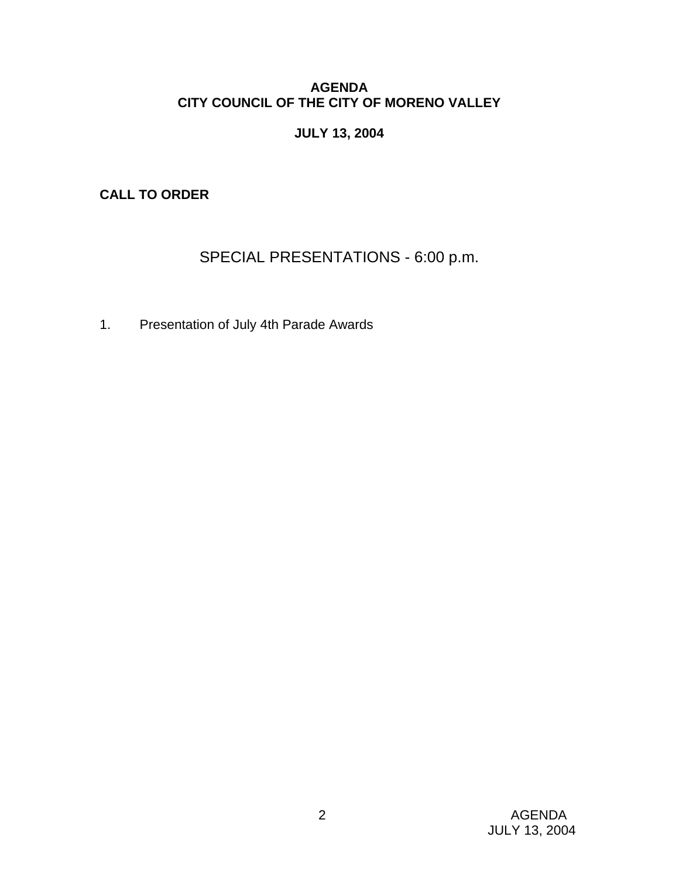## **AGENDA CITY COUNCIL OF THE CITY OF MORENO VALLEY**

# **JULY 13, 2004**

**CALL TO ORDER** 

# SPECIAL PRESENTATIONS - 6:00 p.m.

1. Presentation of July 4th Parade Awards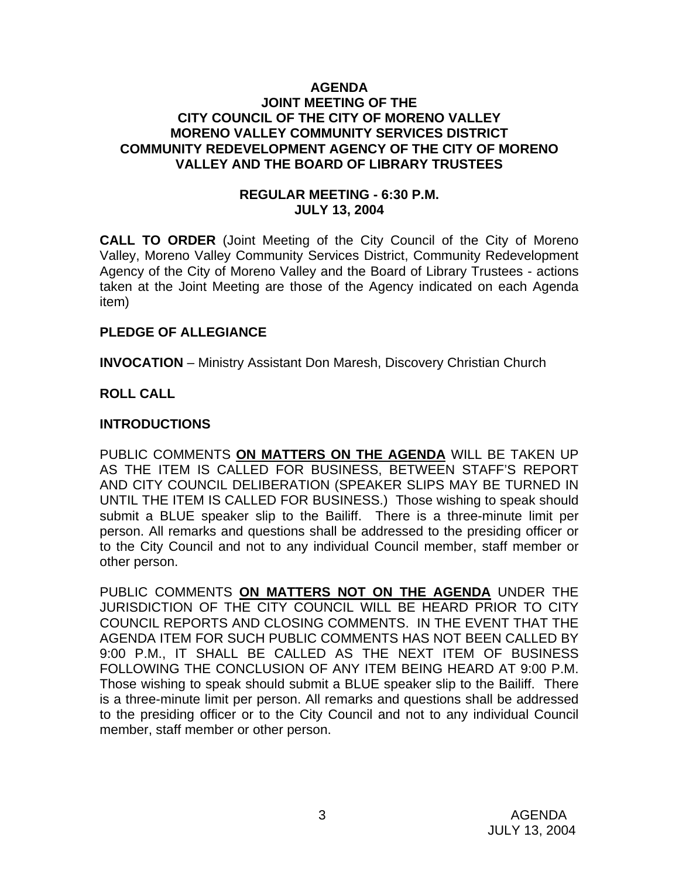#### **AGENDA JOINT MEETING OF THE CITY COUNCIL OF THE CITY OF MORENO VALLEY MORENO VALLEY COMMUNITY SERVICES DISTRICT COMMUNITY REDEVELOPMENT AGENCY OF THE CITY OF MORENO VALLEY AND THE BOARD OF LIBRARY TRUSTEES**

#### **REGULAR MEETING - 6:30 P.M. JULY 13, 2004**

**CALL TO ORDER** (Joint Meeting of the City Council of the City of Moreno Valley, Moreno Valley Community Services District, Community Redevelopment Agency of the City of Moreno Valley and the Board of Library Trustees - actions taken at the Joint Meeting are those of the Agency indicated on each Agenda item)

#### **PLEDGE OF ALLEGIANCE**

**INVOCATION** – Ministry Assistant Don Maresh, Discovery Christian Church

#### **ROLL CALL**

#### **INTRODUCTIONS**

PUBLIC COMMENTS **ON MATTERS ON THE AGENDA** WILL BE TAKEN UP AS THE ITEM IS CALLED FOR BUSINESS, BETWEEN STAFF'S REPORT AND CITY COUNCIL DELIBERATION (SPEAKER SLIPS MAY BE TURNED IN UNTIL THE ITEM IS CALLED FOR BUSINESS.) Those wishing to speak should submit a BLUE speaker slip to the Bailiff. There is a three-minute limit per person. All remarks and questions shall be addressed to the presiding officer or to the City Council and not to any individual Council member, staff member or other person.

PUBLIC COMMENTS **ON MATTERS NOT ON THE AGENDA** UNDER THE JURISDICTION OF THE CITY COUNCIL WILL BE HEARD PRIOR TO CITY COUNCIL REPORTS AND CLOSING COMMENTS. IN THE EVENT THAT THE AGENDA ITEM FOR SUCH PUBLIC COMMENTS HAS NOT BEEN CALLED BY 9:00 P.M., IT SHALL BE CALLED AS THE NEXT ITEM OF BUSINESS FOLLOWING THE CONCLUSION OF ANY ITEM BEING HEARD AT 9:00 P.M. Those wishing to speak should submit a BLUE speaker slip to the Bailiff. There is a three-minute limit per person. All remarks and questions shall be addressed to the presiding officer or to the City Council and not to any individual Council member, staff member or other person.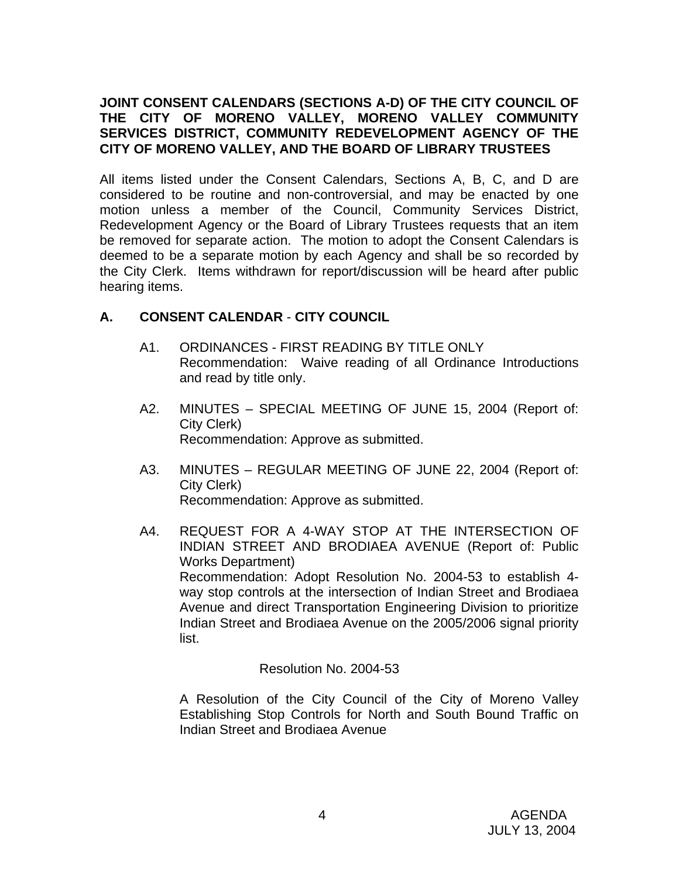## **JOINT CONSENT CALENDARS (SECTIONS A-D) OF THE CITY COUNCIL OF THE CITY OF MORENO VALLEY, MORENO VALLEY COMMUNITY SERVICES DISTRICT, COMMUNITY REDEVELOPMENT AGENCY OF THE CITY OF MORENO VALLEY, AND THE BOARD OF LIBRARY TRUSTEES**

All items listed under the Consent Calendars, Sections A, B, C, and D are considered to be routine and non-controversial, and may be enacted by one motion unless a member of the Council, Community Services District, Redevelopment Agency or the Board of Library Trustees requests that an item be removed for separate action. The motion to adopt the Consent Calendars is deemed to be a separate motion by each Agency and shall be so recorded by the City Clerk. Items withdrawn for report/discussion will be heard after public hearing items.

## **A. CONSENT CALENDAR** - **CITY COUNCIL**

- A1. ORDINANCES FIRST READING BY TITLE ONLY Recommendation: Waive reading of all Ordinance Introductions and read by title only.
- A2. MINUTES SPECIAL MEETING OF JUNE 15, 2004 (Report of: City Clerk) Recommendation: Approve as submitted.
- A3. MINUTES REGULAR MEETING OF JUNE 22, 2004 (Report of: City Clerk) Recommendation: Approve as submitted.
- A4. REQUEST FOR A 4-WAY STOP AT THE INTERSECTION OF INDIAN STREET AND BRODIAEA AVENUE (Report of: Public Works Department) Recommendation: Adopt Resolution No. 2004-53 to establish 4 way stop controls at the intersection of Indian Street and Brodiaea Avenue and direct Transportation Engineering Division to prioritize Indian Street and Brodiaea Avenue on the 2005/2006 signal priority list.

Resolution No. 2004-53

A Resolution of the City Council of the City of Moreno Valley Establishing Stop Controls for North and South Bound Traffic on Indian Street and Brodiaea Avenue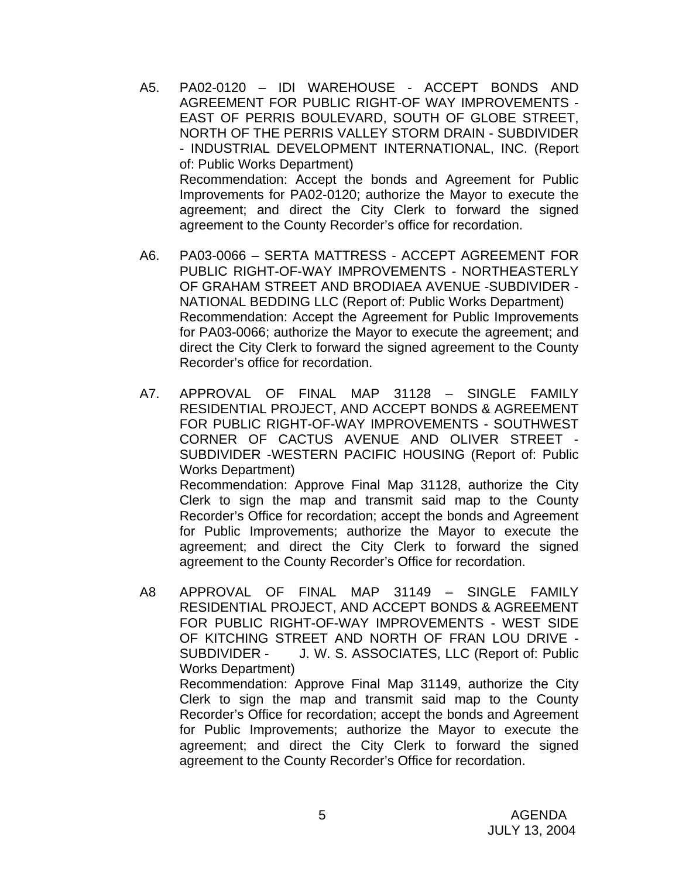- A5. PA02-0120 IDI WAREHOUSE ACCEPT BONDS AND AGREEMENT FOR PUBLIC RIGHT-OF WAY IMPROVEMENTS - EAST OF PERRIS BOULEVARD, SOUTH OF GLOBE STREET, NORTH OF THE PERRIS VALLEY STORM DRAIN - SUBDIVIDER - INDUSTRIAL DEVELOPMENT INTERNATIONAL, INC. (Report of: Public Works Department) Recommendation: Accept the bonds and Agreement for Public Improvements for PA02-0120; authorize the Mayor to execute the agreement; and direct the City Clerk to forward the signed agreement to the County Recorder's office for recordation.
- A6. PA03-0066 SERTA MATTRESS ACCEPT AGREEMENT FOR PUBLIC RIGHT-OF-WAY IMPROVEMENTS - NORTHEASTERLY OF GRAHAM STREET AND BRODIAEA AVENUE -SUBDIVIDER - NATIONAL BEDDING LLC (Report of: Public Works Department) Recommendation: Accept the Agreement for Public Improvements for PA03-0066; authorize the Mayor to execute the agreement; and direct the City Clerk to forward the signed agreement to the County Recorder's office for recordation.
- A7. APPROVAL OF FINAL MAP 31128 SINGLE FAMILY RESIDENTIAL PROJECT, AND ACCEPT BONDS & AGREEMENT FOR PUBLIC RIGHT-OF-WAY IMPROVEMENTS - SOUTHWEST CORNER OF CACTUS AVENUE AND OLIVER STREET - SUBDIVIDER -WESTERN PACIFIC HOUSING (Report of: Public Works Department) Recommendation: Approve Final Map 31128, authorize the City Clerk to sign the map and transmit said map to the County Recorder's Office for recordation; accept the bonds and Agreement for Public Improvements; authorize the Mayor to execute the agreement; and direct the City Clerk to forward the signed
- A8 APPROVAL OF FINAL MAP 31149 SINGLE FAMILY RESIDENTIAL PROJECT, AND ACCEPT BONDS & AGREEMENT FOR PUBLIC RIGHT-OF-WAY IMPROVEMENTS - WEST SIDE OF KITCHING STREET AND NORTH OF FRAN LOU DRIVE - SUBDIVIDER - J. W. S. ASSOCIATES, LLC (Report of: Public Works Department)

agreement to the County Recorder's Office for recordation.

 Recommendation: Approve Final Map 31149, authorize the City Clerk to sign the map and transmit said map to the County Recorder's Office for recordation; accept the bonds and Agreement for Public Improvements; authorize the Mayor to execute the agreement; and direct the City Clerk to forward the signed agreement to the County Recorder's Office for recordation.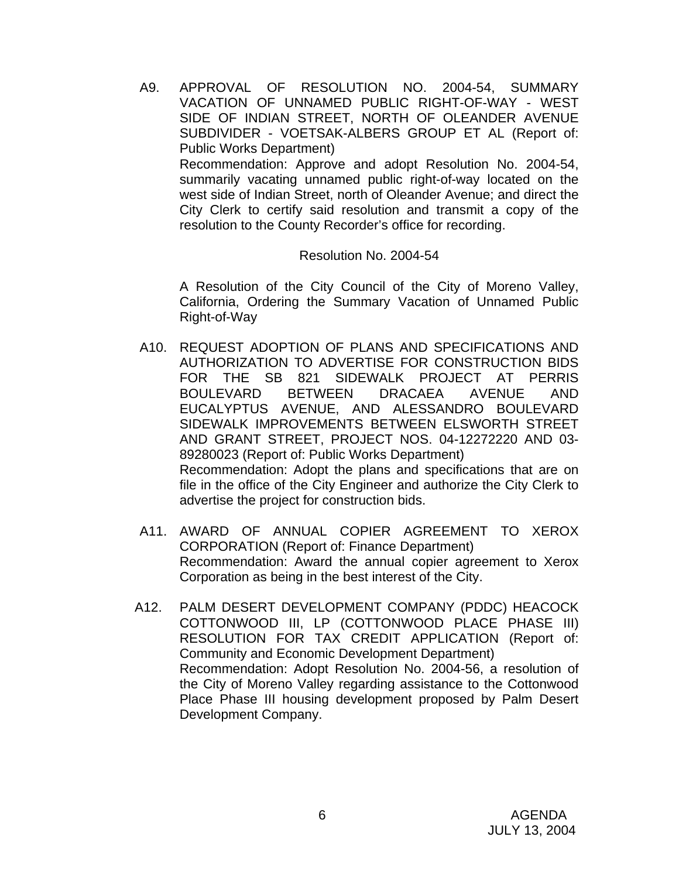A9. APPROVAL OF RESOLUTION NO. 2004-54, SUMMARY VACATION OF UNNAMED PUBLIC RIGHT-OF-WAY - WEST SIDE OF INDIAN STREET, NORTH OF OLEANDER AVENUE SUBDIVIDER - VOETSAK-ALBERS GROUP ET AL (Report of: Public Works Department) Recommendation: Approve and adopt Resolution No. 2004-54, summarily vacating unnamed public right-of-way located on the west side of Indian Street, north of Oleander Avenue; and direct the City Clerk to certify said resolution and transmit a copy of the resolution to the County Recorder's office for recording.

Resolution No. 2004-54

 A Resolution of the City Council of the City of Moreno Valley, California, Ordering the Summary Vacation of Unnamed Public Right-of-Way

- A10. REQUEST ADOPTION OF PLANS AND SPECIFICATIONS AND AUTHORIZATION TO ADVERTISE FOR CONSTRUCTION BIDS FOR THE SB 821 SIDEWALK PROJECT AT PERRIS BOULEVARD BETWEEN DRACAEA AVENUE AND EUCALYPTUS AVENUE, AND ALESSANDRO BOULEVARD SIDEWALK IMPROVEMENTS BETWEEN ELSWORTH STREET AND GRANT STREET, PROJECT NOS. 04-12272220 AND 03- 89280023 (Report of: Public Works Department) Recommendation: Adopt the plans and specifications that are on file in the office of the City Engineer and authorize the City Clerk to advertise the project for construction bids.
- A11. AWARD OF ANNUAL COPIER AGREEMENT TO XEROX CORPORATION (Report of: Finance Department) Recommendation: Award the annual copier agreement to Xerox Corporation as being in the best interest of the City.
- A12. PALM DESERT DEVELOPMENT COMPANY (PDDC) HEACOCK COTTONWOOD III, LP (COTTONWOOD PLACE PHASE III) RESOLUTION FOR TAX CREDIT APPLICATION (Report of: Community and Economic Development Department) Recommendation: Adopt Resolution No. 2004-56, a resolution of the City of Moreno Valley regarding assistance to the Cottonwood Place Phase III housing development proposed by Palm Desert Development Company.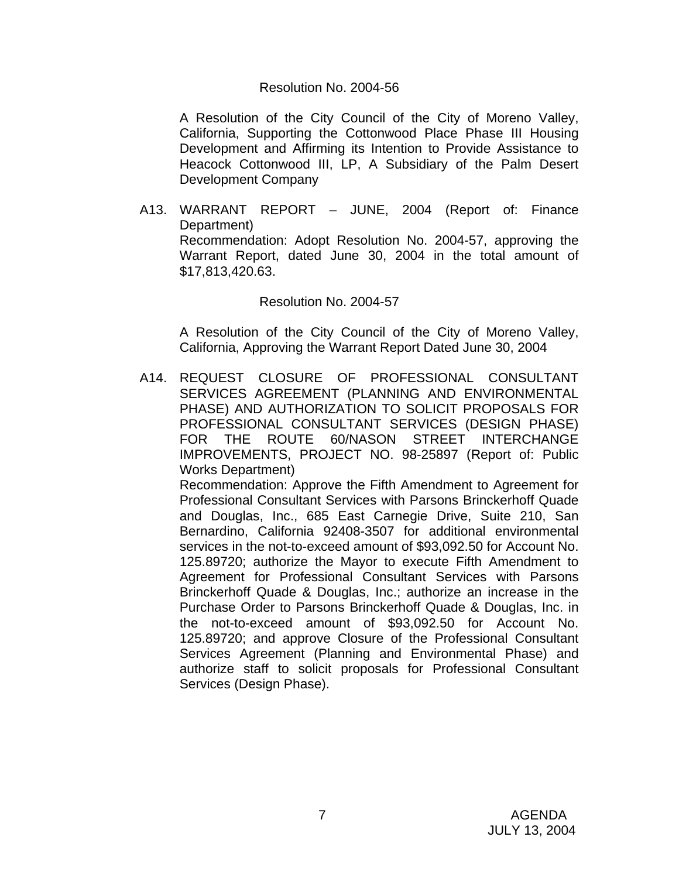#### Resolution No. 2004-56

 A Resolution of the City Council of the City of Moreno Valley, California, Supporting the Cottonwood Place Phase III Housing Development and Affirming its Intention to Provide Assistance to Heacock Cottonwood III, LP, A Subsidiary of the Palm Desert Development Company

A13. WARRANT REPORT – JUNE, 2004 (Report of: Finance Department) Recommendation: Adopt Resolution No. 2004-57, approving the Warrant Report, dated June 30, 2004 in the total amount of \$17,813,420.63.

#### Resolution No. 2004-57

 A Resolution of the City Council of the City of Moreno Valley, California, Approving the Warrant Report Dated June 30, 2004

A14. REQUEST CLOSURE OF PROFESSIONAL CONSULTANT SERVICES AGREEMENT (PLANNING AND ENVIRONMENTAL PHASE) AND AUTHORIZATION TO SOLICIT PROPOSALS FOR PROFESSIONAL CONSULTANT SERVICES (DESIGN PHASE) FOR THE ROUTE 60/NASON STREET INTERCHANGE IMPROVEMENTS, PROJECT NO. 98-25897 (Report of: Public Works Department)

 Recommendation: Approve the Fifth Amendment to Agreement for Professional Consultant Services with Parsons Brinckerhoff Quade and Douglas, Inc., 685 East Carnegie Drive, Suite 210, San Bernardino, California 92408-3507 for additional environmental services in the not-to-exceed amount of \$93,092.50 for Account No. 125.89720; authorize the Mayor to execute Fifth Amendment to Agreement for Professional Consultant Services with Parsons Brinckerhoff Quade & Douglas, Inc.; authorize an increase in the Purchase Order to Parsons Brinckerhoff Quade & Douglas, Inc. in the not-to-exceed amount of \$93,092.50 for Account No. 125.89720; and approve Closure of the Professional Consultant Services Agreement (Planning and Environmental Phase) and authorize staff to solicit proposals for Professional Consultant Services (Design Phase).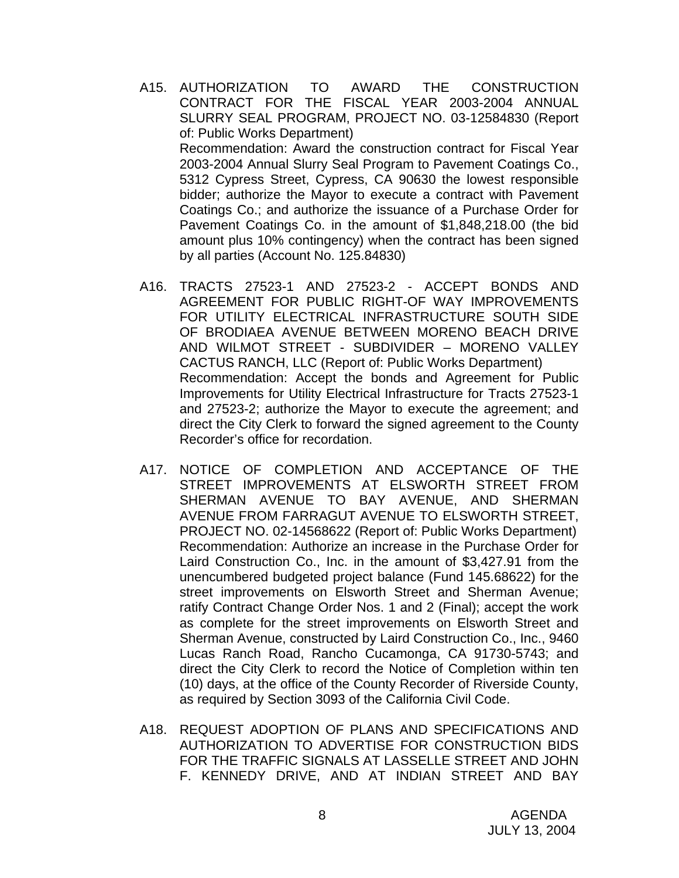- A15. AUTHORIZATION TO AWARD THE CONSTRUCTION CONTRACT FOR THE FISCAL YEAR 2003-2004 ANNUAL SLURRY SEAL PROGRAM, PROJECT NO. 03-12584830 (Report of: Public Works Department) Recommendation: Award the construction contract for Fiscal Year 2003-2004 Annual Slurry Seal Program to Pavement Coatings Co., 5312 Cypress Street, Cypress, CA 90630 the lowest responsible bidder; authorize the Mayor to execute a contract with Pavement Coatings Co.; and authorize the issuance of a Purchase Order for Pavement Coatings Co. in the amount of \$1,848,218.00 (the bid amount plus 10% contingency) when the contract has been signed by all parties (Account No. 125.84830)
- A16. TRACTS 27523-1 AND 27523-2 ACCEPT BONDS AND AGREEMENT FOR PUBLIC RIGHT-OF WAY IMPROVEMENTS FOR UTILITY ELECTRICAL INFRASTRUCTURE SOUTH SIDE OF BRODIAEA AVENUE BETWEEN MORENO BEACH DRIVE AND WILMOT STREET - SUBDIVIDER – MORENO VALLEY CACTUS RANCH, LLC (Report of: Public Works Department) Recommendation: Accept the bonds and Agreement for Public Improvements for Utility Electrical Infrastructure for Tracts 27523-1 and 27523-2; authorize the Mayor to execute the agreement; and direct the City Clerk to forward the signed agreement to the County Recorder's office for recordation.
- A17. NOTICE OF COMPLETION AND ACCEPTANCE OF THE STREET IMPROVEMENTS AT ELSWORTH STREET FROM SHERMAN AVENUE TO BAY AVENUE, AND SHERMAN AVENUE FROM FARRAGUT AVENUE TO ELSWORTH STREET, PROJECT NO. 02-14568622 (Report of: Public Works Department) Recommendation: Authorize an increase in the Purchase Order for Laird Construction Co., Inc. in the amount of \$3,427.91 from the unencumbered budgeted project balance (Fund 145.68622) for the street improvements on Elsworth Street and Sherman Avenue; ratify Contract Change Order Nos. 1 and 2 (Final); accept the work as complete for the street improvements on Elsworth Street and Sherman Avenue, constructed by Laird Construction Co., Inc., 9460 Lucas Ranch Road, Rancho Cucamonga, CA 91730-5743; and direct the City Clerk to record the Notice of Completion within ten (10) days, at the office of the County Recorder of Riverside County, as required by Section 3093 of the California Civil Code.
- A18. REQUEST ADOPTION OF PLANS AND SPECIFICATIONS AND AUTHORIZATION TO ADVERTISE FOR CONSTRUCTION BIDS FOR THE TRAFFIC SIGNALS AT LASSELLE STREET AND JOHN F. KENNEDY DRIVE, AND AT INDIAN STREET AND BAY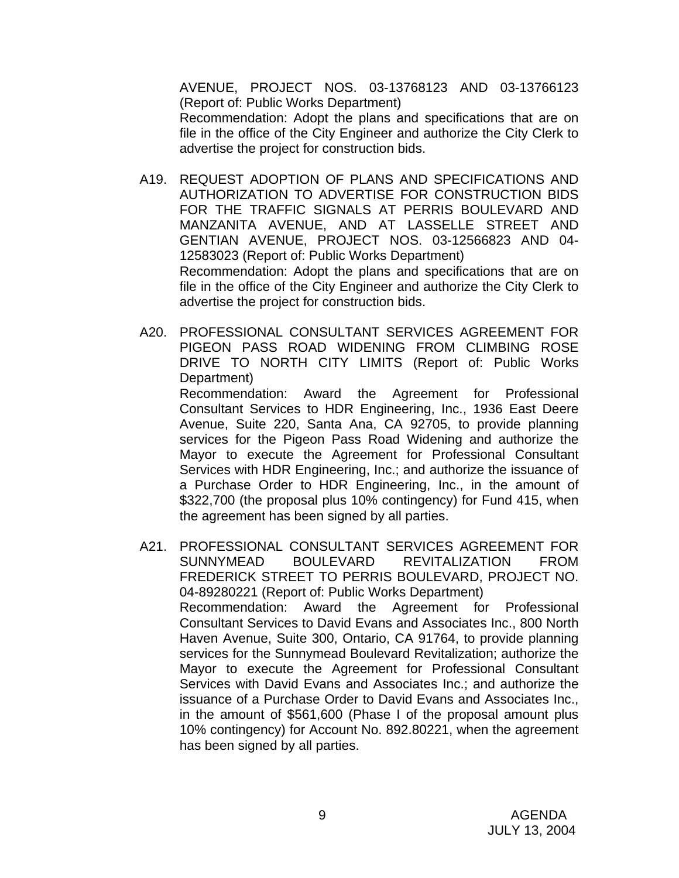AVENUE, PROJECT NOS. 03-13768123 AND 03-13766123 (Report of: Public Works Department) Recommendation: Adopt the plans and specifications that are on file in the office of the City Engineer and authorize the City Clerk to advertise the project for construction bids.

- A19. REQUEST ADOPTION OF PLANS AND SPECIFICATIONS AND AUTHORIZATION TO ADVERTISE FOR CONSTRUCTION BIDS FOR THE TRAFFIC SIGNALS AT PERRIS BOULEVARD AND MANZANITA AVENUE, AND AT LASSELLE STREET AND GENTIAN AVENUE, PROJECT NOS. 03-12566823 AND 04- 12583023 (Report of: Public Works Department) Recommendation: Adopt the plans and specifications that are on file in the office of the City Engineer and authorize the City Clerk to advertise the project for construction bids.
- A20. PROFESSIONAL CONSULTANT SERVICES AGREEMENT FOR PIGEON PASS ROAD WIDENING FROM CLIMBING ROSE DRIVE TO NORTH CITY LIMITS (Report of: Public Works Department)

 Recommendation: Award the Agreement for Professional Consultant Services to HDR Engineering, Inc., 1936 East Deere Avenue, Suite 220, Santa Ana, CA 92705, to provide planning services for the Pigeon Pass Road Widening and authorize the Mayor to execute the Agreement for Professional Consultant Services with HDR Engineering, Inc.; and authorize the issuance of a Purchase Order to HDR Engineering, Inc., in the amount of \$322,700 (the proposal plus 10% contingency) for Fund 415, when the agreement has been signed by all parties.

A21. PROFESSIONAL CONSULTANT SERVICES AGREEMENT FOR SUNNYMEAD BOULEVARD REVITALIZATION FROM FREDERICK STREET TO PERRIS BOULEVARD, PROJECT NO. 04-89280221 (Report of: Public Works Department) Recommendation: Award the Agreement for Professional Consultant Services to David Evans and Associates Inc., 800 North Haven Avenue, Suite 300, Ontario, CA 91764, to provide planning services for the Sunnymead Boulevard Revitalization; authorize the Mayor to execute the Agreement for Professional Consultant Services with David Evans and Associates Inc.; and authorize the issuance of a Purchase Order to David Evans and Associates Inc., in the amount of \$561,600 (Phase I of the proposal amount plus 10% contingency) for Account No. 892.80221, when the agreement has been signed by all parties.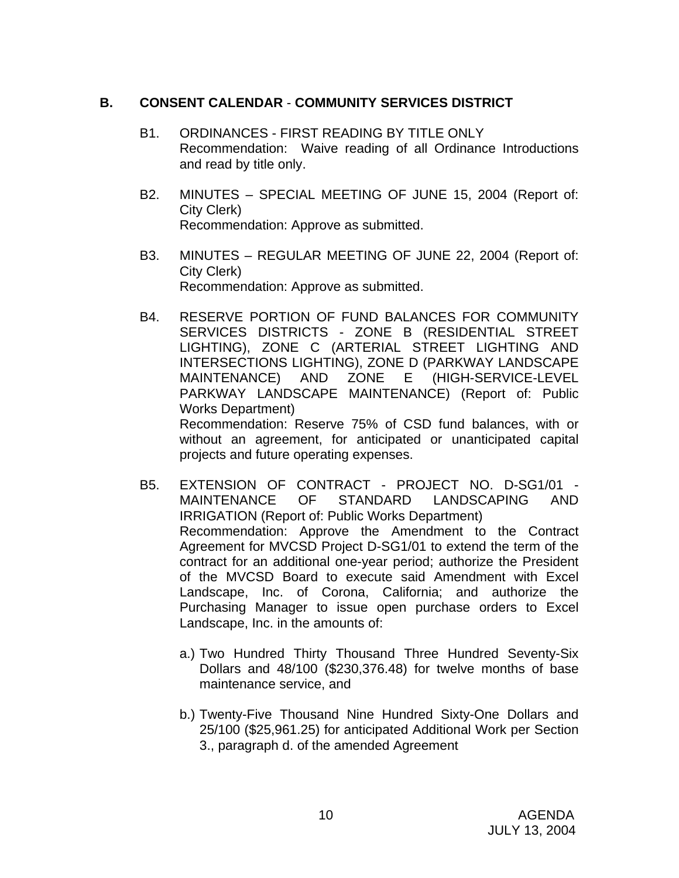### **B. CONSENT CALENDAR** - **COMMUNITY SERVICES DISTRICT**

- B1. ORDINANCES FIRST READING BY TITLE ONLY Recommendation: Waive reading of all Ordinance Introductions and read by title only.
- B2. MINUTES SPECIAL MEETING OF JUNE 15, 2004 (Report of: City Clerk) Recommendation: Approve as submitted.
- B3. MINUTES REGULAR MEETING OF JUNE 22, 2004 (Report of: City Clerk) Recommendation: Approve as submitted.
- B4. RESERVE PORTION OF FUND BALANCES FOR COMMUNITY SERVICES DISTRICTS - ZONE B (RESIDENTIAL STREET LIGHTING), ZONE C (ARTERIAL STREET LIGHTING AND INTERSECTIONS LIGHTING), ZONE D (PARKWAY LANDSCAPE MAINTENANCE) AND ZONE E (HIGH-SERVICE-LEVEL PARKWAY LANDSCAPE MAINTENANCE) (Report of: Public Works Department) Recommendation: Reserve 75% of CSD fund balances, with or

without an agreement, for anticipated or unanticipated capital projects and future operating expenses.

- B5. EXTENSION OF CONTRACT PROJECT NO. D-SG1/01 MAINTENANCE OF STANDARD LANDSCAPING AND IRRIGATION (Report of: Public Works Department) Recommendation: Approve the Amendment to the Contract Agreement for MVCSD Project D-SG1/01 to extend the term of the contract for an additional one-year period; authorize the President of the MVCSD Board to execute said Amendment with Excel Landscape, Inc. of Corona, California; and authorize the Purchasing Manager to issue open purchase orders to Excel Landscape, Inc. in the amounts of:
	- a.) Two Hundred Thirty Thousand Three Hundred Seventy-Six Dollars and 48/100 (\$230,376.48) for twelve months of base maintenance service, and
	- b.) Twenty-Five Thousand Nine Hundred Sixty-One Dollars and 25/100 (\$25,961.25) for anticipated Additional Work per Section 3., paragraph d. of the amended Agreement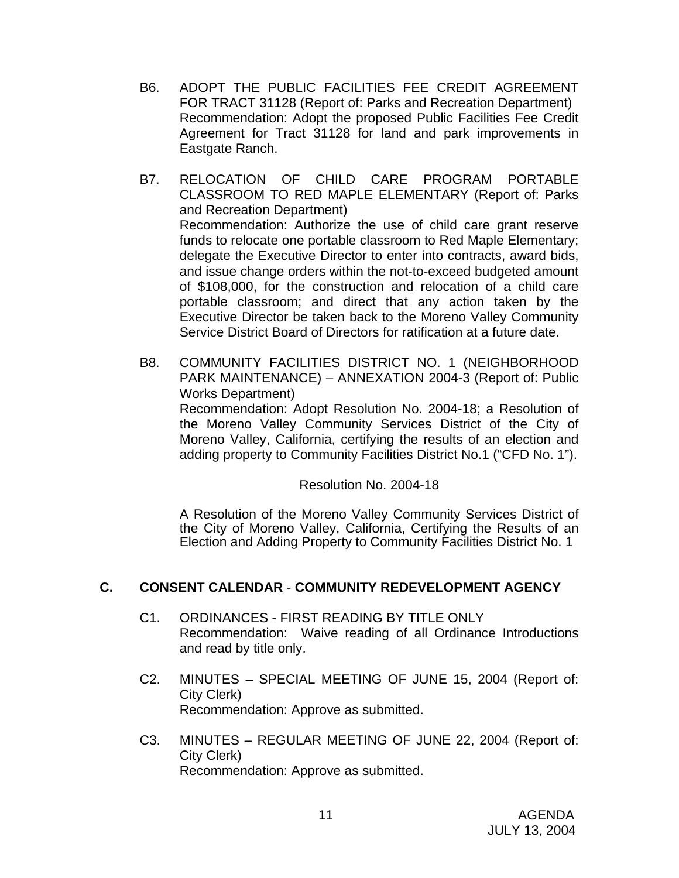- B6. ADOPT THE PUBLIC FACILITIES FEE CREDIT AGREEMENT FOR TRACT 31128 (Report of: Parks and Recreation Department) Recommendation: Adopt the proposed Public Facilities Fee Credit Agreement for Tract 31128 for land and park improvements in Eastgate Ranch.
- B7. RELOCATION OF CHILD CARE PROGRAM PORTABLE CLASSROOM TO RED MAPLE ELEMENTARY (Report of: Parks and Recreation Department) Recommendation: Authorize the use of child care grant reserve funds to relocate one portable classroom to Red Maple Elementary; delegate the Executive Director to enter into contracts, award bids, and issue change orders within the not-to-exceed budgeted amount of \$108,000, for the construction and relocation of a child care portable classroom; and direct that any action taken by the Executive Director be taken back to the Moreno Valley Community Service District Board of Directors for ratification at a future date.
- B8. COMMUNITY FACILITIES DISTRICT NO. 1 (NEIGHBORHOOD PARK MAINTENANCE) – ANNEXATION 2004-3 (Report of: Public Works Department) Recommendation: Adopt Resolution No. 2004-18; a Resolution of the Moreno Valley Community Services District of the City of Moreno Valley, California, certifying the results of an election and adding property to Community Facilities District No.1 ("CFD No. 1").

Resolution No. 2004-18

 A Resolution of the Moreno Valley Community Services District of the City of Moreno Valley, California, Certifying the Results of an Election and Adding Property to Community Facilities District No. 1

# **C. CONSENT CALENDAR** - **COMMUNITY REDEVELOPMENT AGENCY**

- C1. ORDINANCES FIRST READING BY TITLE ONLY Recommendation: Waive reading of all Ordinance Introductions and read by title only.
- C2. MINUTES SPECIAL MEETING OF JUNE 15, 2004 (Report of: City Clerk) Recommendation: Approve as submitted.
- C3. MINUTES REGULAR MEETING OF JUNE 22, 2004 (Report of: City Clerk) Recommendation: Approve as submitted.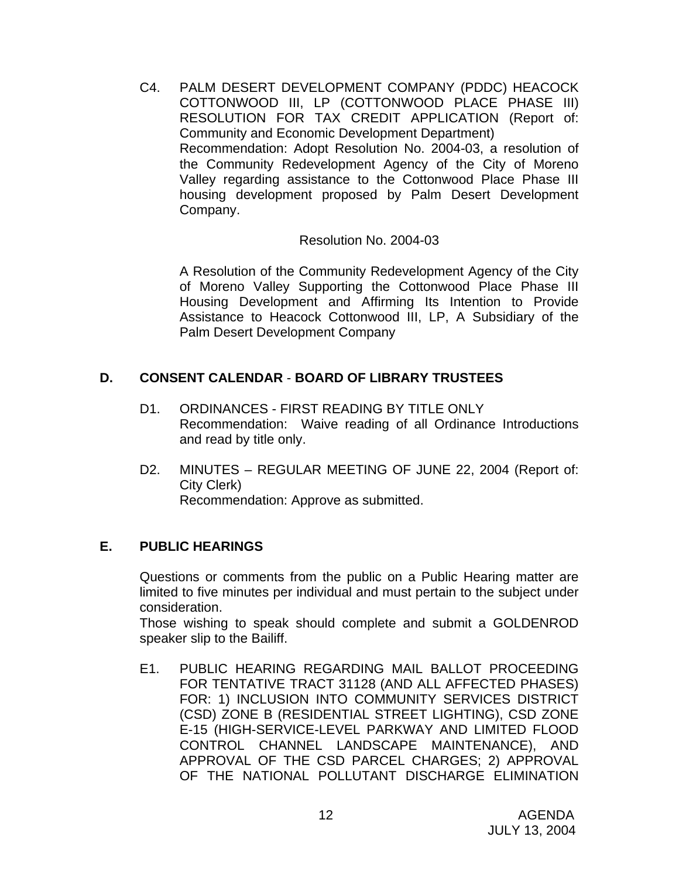C4. PALM DESERT DEVELOPMENT COMPANY (PDDC) HEACOCK COTTONWOOD III, LP (COTTONWOOD PLACE PHASE III) RESOLUTION FOR TAX CREDIT APPLICATION (Report of: Community and Economic Development Department) Recommendation: Adopt Resolution No. 2004-03, a resolution of the Community Redevelopment Agency of the City of Moreno Valley regarding assistance to the Cottonwood Place Phase III housing development proposed by Palm Desert Development Company.

Resolution No. 2004-03

 A Resolution of the Community Redevelopment Agency of the City of Moreno Valley Supporting the Cottonwood Place Phase III Housing Development and Affirming Its Intention to Provide Assistance to Heacock Cottonwood III, LP, A Subsidiary of the Palm Desert Development Company

# **D. CONSENT CALENDAR** - **BOARD OF LIBRARY TRUSTEES**

- D1. ORDINANCES FIRST READING BY TITLE ONLY Recommendation: Waive reading of all Ordinance Introductions and read by title only.
- D2. MINUTES REGULAR MEETING OF JUNE 22, 2004 (Report of: City Clerk) Recommendation: Approve as submitted.

## **E. PUBLIC HEARINGS**

Questions or comments from the public on a Public Hearing matter are limited to five minutes per individual and must pertain to the subject under consideration.

 Those wishing to speak should complete and submit a GOLDENROD speaker slip to the Bailiff.

E1. PUBLIC HEARING REGARDING MAIL BALLOT PROCEEDING FOR TENTATIVE TRACT 31128 (AND ALL AFFECTED PHASES) FOR: 1) INCLUSION INTO COMMUNITY SERVICES DISTRICT (CSD) ZONE B (RESIDENTIAL STREET LIGHTING), CSD ZONE E-15 (HIGH-SERVICE-LEVEL PARKWAY AND LIMITED FLOOD CONTROL CHANNEL LANDSCAPE MAINTENANCE), AND APPROVAL OF THE CSD PARCEL CHARGES; 2) APPROVAL OF THE NATIONAL POLLUTANT DISCHARGE ELIMINATION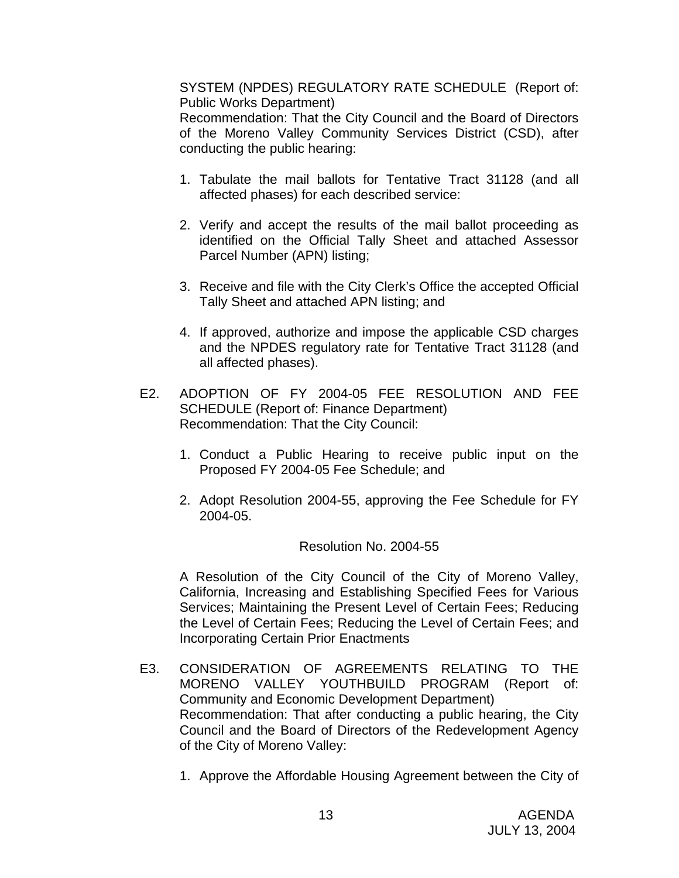SYSTEM (NPDES) REGULATORY RATE SCHEDULE (Report of: Public Works Department)

 Recommendation: That the City Council and the Board of Directors of the Moreno Valley Community Services District (CSD), after conducting the public hearing:

- 1. Tabulate the mail ballots for Tentative Tract 31128 (and all affected phases) for each described service:
- 2. Verify and accept the results of the mail ballot proceeding as identified on the Official Tally Sheet and attached Assessor Parcel Number (APN) listing;
- 3. Receive and file with the City Clerk's Office the accepted Official Tally Sheet and attached APN listing; and
- 4. If approved, authorize and impose the applicable CSD charges and the NPDES regulatory rate for Tentative Tract 31128 (and all affected phases).
- E2. ADOPTION OF FY 2004-05 FEE RESOLUTION AND FEE SCHEDULE (Report of: Finance Department) Recommendation: That the City Council:
	- 1. Conduct a Public Hearing to receive public input on the Proposed FY 2004-05 Fee Schedule; and
	- 2. Adopt Resolution 2004-55, approving the Fee Schedule for FY 2004-05.

#### Resolution No. 2004-55

 A Resolution of the City Council of the City of Moreno Valley, California, Increasing and Establishing Specified Fees for Various Services; Maintaining the Present Level of Certain Fees; Reducing the Level of Certain Fees; Reducing the Level of Certain Fees; and Incorporating Certain Prior Enactments

- E3. CONSIDERATION OF AGREEMENTS RELATING TO THE MORENO VALLEY YOUTHBUILD PROGRAM (Report of: Community and Economic Development Department) Recommendation: That after conducting a public hearing, the City Council and the Board of Directors of the Redevelopment Agency of the City of Moreno Valley:
	- 1. Approve the Affordable Housing Agreement between the City of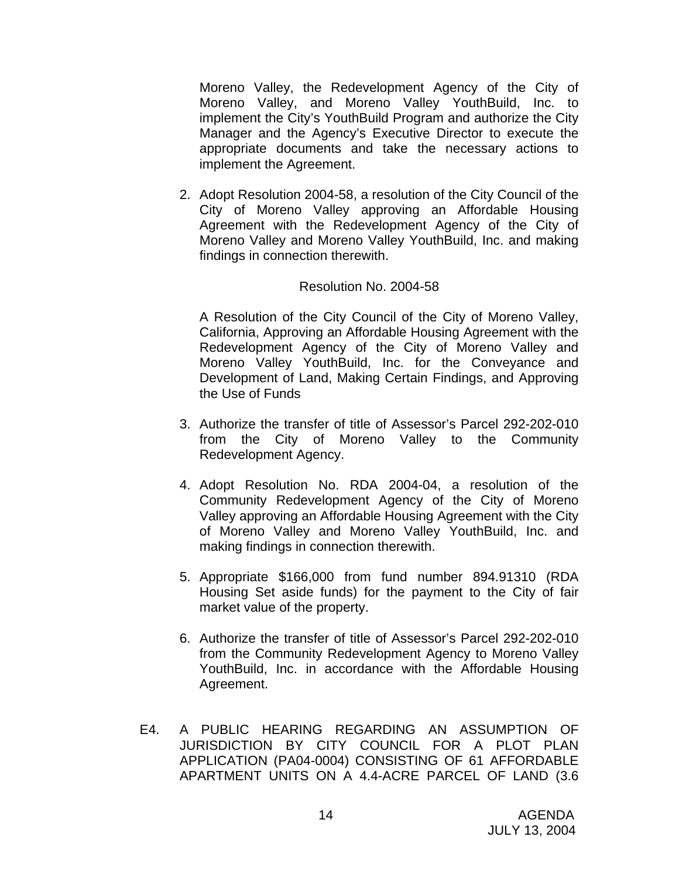Moreno Valley, the Redevelopment Agency of the City of Moreno Valley, and Moreno Valley YouthBuild, Inc. to implement the City's YouthBuild Program and authorize the City Manager and the Agency's Executive Director to execute the appropriate documents and take the necessary actions to implement the Agreement.

2. Adopt Resolution 2004-58, a resolution of the City Council of the City of Moreno Valley approving an Affordable Housing Agreement with the Redevelopment Agency of the City of Moreno Valley and Moreno Valley YouthBuild, Inc. and making findings in connection therewith.

#### Resolution No. 2004-58

A Resolution of the City Council of the City of Moreno Valley, California, Approving an Affordable Housing Agreement with the Redevelopment Agency of the City of Moreno Valley and Moreno Valley YouthBuild, Inc. for the Conveyance and Development of Land, Making Certain Findings, and Approving the Use of Funds

- 3. Authorize the transfer of title of Assessor's Parcel 292-202-010 from the City of Moreno Valley to the Community Redevelopment Agency.
- 4. Adopt Resolution No. RDA 2004-04, a resolution of the Community Redevelopment Agency of the City of Moreno Valley approving an Affordable Housing Agreement with the City of Moreno Valley and Moreno Valley YouthBuild, Inc. and making findings in connection therewith.
- 5. Appropriate \$166,000 from fund number 894.91310 (RDA Housing Set aside funds) for the payment to the City of fair market value of the property.
- 6. Authorize the transfer of title of Assessor's Parcel 292-202-010 from the Community Redevelopment Agency to Moreno Valley YouthBuild, Inc. in accordance with the Affordable Housing Agreement.
- E4. A PUBLIC HEARING REGARDING AN ASSUMPTION OF JURISDICTION BY CITY COUNCIL FOR A PLOT PLAN APPLICATION (PA04-0004) CONSISTING OF 61 AFFORDABLE APARTMENT UNITS ON A 4.4-ACRE PARCEL OF LAND (3.6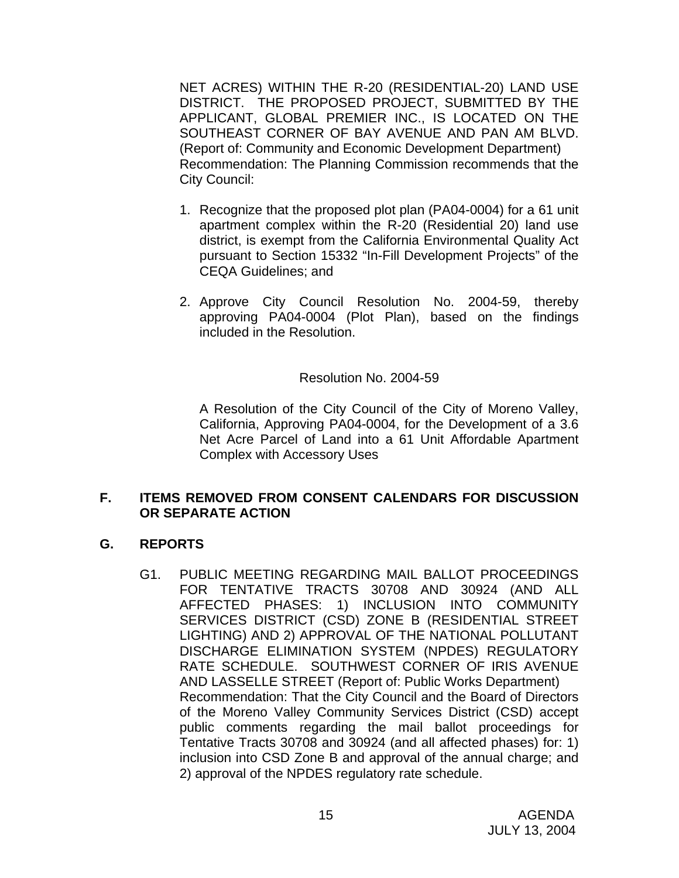NET ACRES) WITHIN THE R-20 (RESIDENTIAL-20) LAND USE DISTRICT. THE PROPOSED PROJECT, SUBMITTED BY THE APPLICANT, GLOBAL PREMIER INC., IS LOCATED ON THE SOUTHEAST CORNER OF BAY AVENUE AND PAN AM BLVD. (Report of: Community and Economic Development Department) Recommendation: The Planning Commission recommends that the City Council:

- 1. Recognize that the proposed plot plan (PA04-0004) for a 61 unit apartment complex within the R-20 (Residential 20) land use district, is exempt from the California Environmental Quality Act pursuant to Section 15332 "In-Fill Development Projects" of the CEQA Guidelines; and
- 2. Approve City Council Resolution No. 2004-59, thereby approving PA04-0004 (Plot Plan), based on the findings included in the Resolution.

#### Resolution No. 2004-59

 A Resolution of the City Council of the City of Moreno Valley, California, Approving PA04-0004, for the Development of a 3.6 Net Acre Parcel of Land into a 61 Unit Affordable Apartment Complex with Accessory Uses

#### **F. ITEMS REMOVED FROM CONSENT CALENDARS FOR DISCUSSION OR SEPARATE ACTION**

#### **G. REPORTS**

G1. PUBLIC MEETING REGARDING MAIL BALLOT PROCEEDINGS FOR TENTATIVE TRACTS 30708 AND 30924 (AND ALL AFFECTED PHASES: 1) INCLUSION INTO COMMUNITY SERVICES DISTRICT (CSD) ZONE B (RESIDENTIAL STREET LIGHTING) AND 2) APPROVAL OF THE NATIONAL POLLUTANT DISCHARGE ELIMINATION SYSTEM (NPDES) REGULATORY RATE SCHEDULE. SOUTHWEST CORNER OF IRIS AVENUE AND LASSELLE STREET (Report of: Public Works Department) Recommendation: That the City Council and the Board of Directors of the Moreno Valley Community Services District (CSD) accept public comments regarding the mail ballot proceedings for Tentative Tracts 30708 and 30924 (and all affected phases) for: 1) inclusion into CSD Zone B and approval of the annual charge; and 2) approval of the NPDES regulatory rate schedule.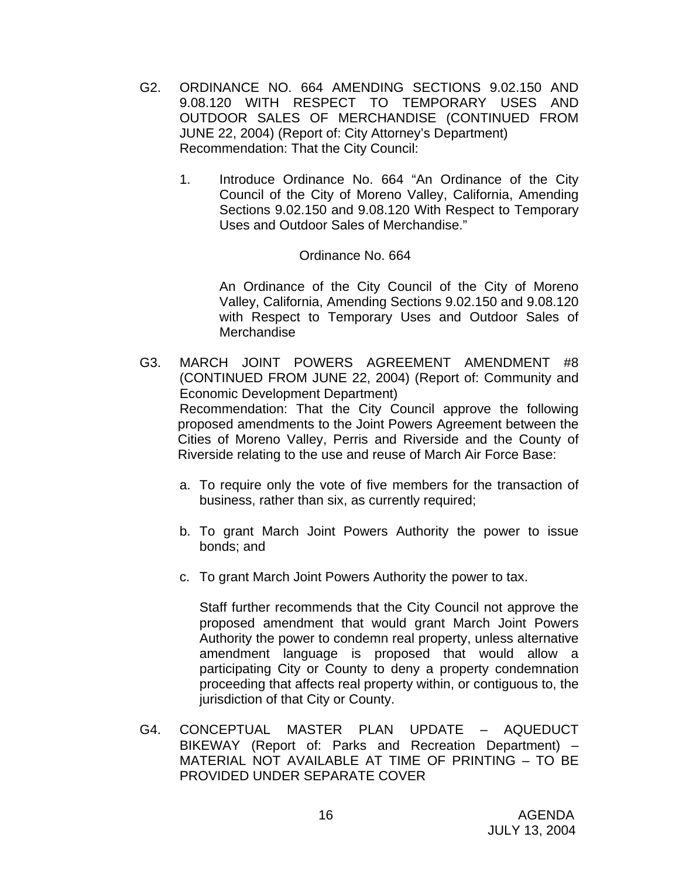- G2. ORDINANCE NO. 664 AMENDING SECTIONS 9.02.150 AND 9.08.120 WITH RESPECT TO TEMPORARY USES AND OUTDOOR SALES OF MERCHANDISE (CONTINUED FROM JUNE 22, 2004) (Report of: City Attorney's Department) Recommendation: That the City Council:
	- 1. Introduce Ordinance No. 664 "An Ordinance of the City Council of the City of Moreno Valley, California, Amending Sections 9.02.150 and 9.08.120 With Respect to Temporary Uses and Outdoor Sales of Merchandise."

#### Ordinance No. 664

An Ordinance of the City Council of the City of Moreno Valley, California, Amending Sections 9.02.150 and 9.08.120 with Respect to Temporary Uses and Outdoor Sales of **Merchandise** 

- G3. MARCH JOINT POWERS AGREEMENT AMENDMENT #8 (CONTINUED FROM JUNE 22, 2004) (Report of: Community and Economic Development Department) Recommendation: That the City Council approve the following proposed amendments to the Joint Powers Agreement between the Cities of Moreno Valley, Perris and Riverside and the County of Riverside relating to the use and reuse of March Air Force Base:
	- a. To require only the vote of five members for the transaction of business, rather than six, as currently required;
	- b. To grant March Joint Powers Authority the power to issue bonds; and
	- c. To grant March Joint Powers Authority the power to tax.

Staff further recommends that the City Council not approve the proposed amendment that would grant March Joint Powers Authority the power to condemn real property, unless alternative amendment language is proposed that would allow a participating City or County to deny a property condemnation proceeding that affects real property within, or contiguous to, the jurisdiction of that City or County.

G4. CONCEPTUAL MASTER PLAN UPDATE – AQUEDUCT BIKEWAY (Report of: Parks and Recreation Department) – MATERIAL NOT AVAILABLE AT TIME OF PRINTING – TO BE PROVIDED UNDER SEPARATE COVER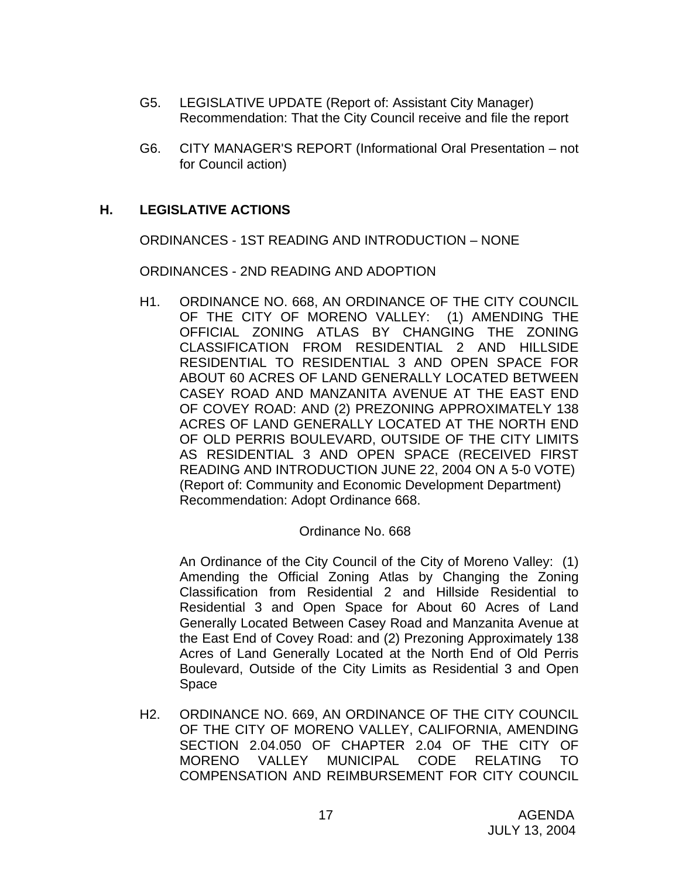- G5. LEGISLATIVE UPDATE (Report of: Assistant City Manager) Recommendation: That the City Council receive and file the report
- G6. CITY MANAGER'S REPORT (Informational Oral Presentation not for Council action)

## **H. LEGISLATIVE ACTIONS**

ORDINANCES - 1ST READING AND INTRODUCTION – NONE

ORDINANCES - 2ND READING AND ADOPTION

 H1. ORDINANCE NO. 668, AN ORDINANCE OF THE CITY COUNCIL OF THE CITY OF MORENO VALLEY: (1) AMENDING THE OFFICIAL ZONING ATLAS BY CHANGING THE ZONING CLASSIFICATION FROM RESIDENTIAL 2 AND HILLSIDE RESIDENTIAL TO RESIDENTIAL 3 AND OPEN SPACE FOR ABOUT 60 ACRES OF LAND GENERALLY LOCATED BETWEEN CASEY ROAD AND MANZANITA AVENUE AT THE EAST END OF COVEY ROAD: AND (2) PREZONING APPROXIMATELY 138 ACRES OF LAND GENERALLY LOCATED AT THE NORTH END OF OLD PERRIS BOULEVARD, OUTSIDE OF THE CITY LIMITS AS RESIDENTIAL 3 AND OPEN SPACE (RECEIVED FIRST READING AND INTRODUCTION JUNE 22, 2004 ON A 5-0 VOTE) (Report of: Community and Economic Development Department) Recommendation: Adopt Ordinance 668.

#### Ordinance No. 668

 An Ordinance of the City Council of the City of Moreno Valley: (1) Amending the Official Zoning Atlas by Changing the Zoning Classification from Residential 2 and Hillside Residential to Residential 3 and Open Space for About 60 Acres of Land Generally Located Between Casey Road and Manzanita Avenue at the East End of Covey Road: and (2) Prezoning Approximately 138 Acres of Land Generally Located at the North End of Old Perris Boulevard, Outside of the City Limits as Residential 3 and Open Space

H2. ORDINANCE NO. 669, AN ORDINANCE OF THE CITY COUNCIL OF THE CITY OF MORENO VALLEY, CALIFORNIA, AMENDING SECTION 2.04.050 OF CHAPTER 2.04 OF THE CITY OF MORENO VALLEY MUNICIPAL CODE RELATING TO COMPENSATION AND REIMBURSEMENT FOR CITY COUNCIL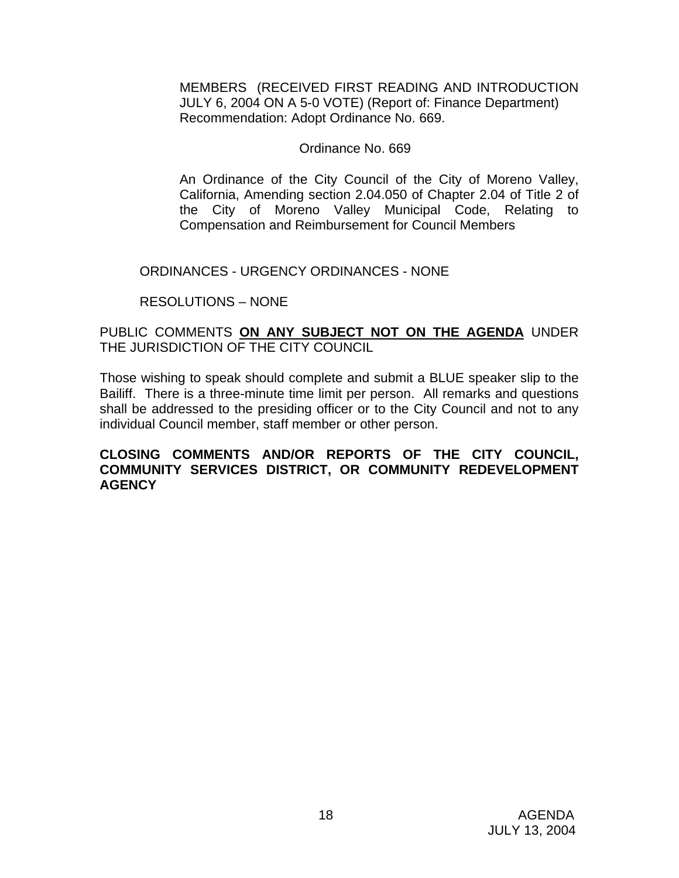MEMBERS (RECEIVED FIRST READING AND INTRODUCTION JULY 6, 2004 ON A 5-0 VOTE) (Report of: Finance Department) Recommendation: Adopt Ordinance No. 669.

#### Ordinance No. 669

An Ordinance of the City Council of the City of Moreno Valley, California, Amending section 2.04.050 of Chapter 2.04 of Title 2 of the City of Moreno Valley Municipal Code, Relating to Compensation and Reimbursement for Council Members

#### ORDINANCES - URGENCY ORDINANCES - NONE

#### RESOLUTIONS – NONE

### PUBLIC COMMENTS **ON ANY SUBJECT NOT ON THE AGENDA** UNDER THE JURISDICTION OF THE CITY COUNCIL

Those wishing to speak should complete and submit a BLUE speaker slip to the Bailiff. There is a three-minute time limit per person. All remarks and questions shall be addressed to the presiding officer or to the City Council and not to any individual Council member, staff member or other person.

#### **CLOSING COMMENTS AND/OR REPORTS OF THE CITY COUNCIL, COMMUNITY SERVICES DISTRICT, OR COMMUNITY REDEVELOPMENT AGENCY**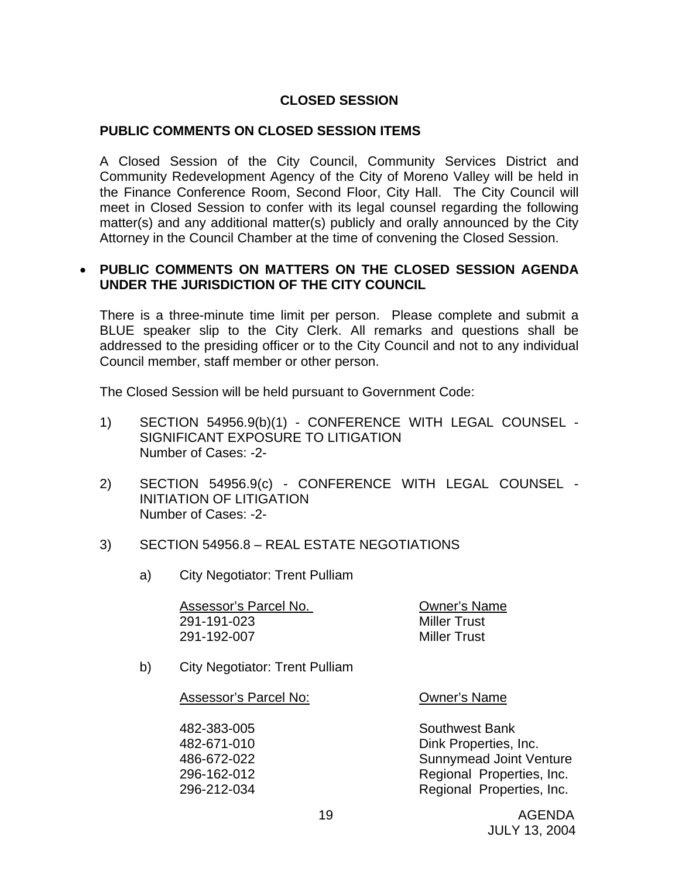## **CLOSED SESSION**

#### **PUBLIC COMMENTS ON CLOSED SESSION ITEMS**

A Closed Session of the City Council, Community Services District and Community Redevelopment Agency of the City of Moreno Valley will be held in the Finance Conference Room, Second Floor, City Hall. The City Council will meet in Closed Session to confer with its legal counsel regarding the following matter(s) and any additional matter(s) publicly and orally announced by the City Attorney in the Council Chamber at the time of convening the Closed Session.

#### • **PUBLIC COMMENTS ON MATTERS ON THE CLOSED SESSION AGENDA UNDER THE JURISDICTION OF THE CITY COUNCIL**

There is a three-minute time limit per person. Please complete and submit a BLUE speaker slip to the City Clerk. All remarks and questions shall be addressed to the presiding officer or to the City Council and not to any individual Council member, staff member or other person.

The Closed Session will be held pursuant to Government Code:

- 1) SECTION 54956.9(b)(1) CONFERENCE WITH LEGAL COUNSEL SIGNIFICANT EXPOSURE TO LITIGATION Number of Cases: -2-
- 2) SECTION 54956.9(c) CONFERENCE WITH LEGAL COUNSEL INITIATION OF LITIGATION Number of Cases: -2-

#### 3) SECTION 54956.8 – REAL ESTATE NEGOTIATIONS

a) City Negotiator: Trent Pulliam

| Assessor's Parcel No. | <b>Owner's Name</b> |
|-----------------------|---------------------|
| 291-191-023           | <b>Miller Trust</b> |
| 291-192-007           | <b>Miller Trust</b> |

b) City Negotiator: Trent Pulliam

#### Assessor's Parcel No: Owner's Name

 482-383-005 Southwest Bank 482-671-010 Dink Properties, Inc. 486-672-022 Sunnymead Joint Venture 296-162-012 Regional Properties, Inc. 296-212-034 Regional Properties, Inc.

 19 AGENDA JULY 13, 2004